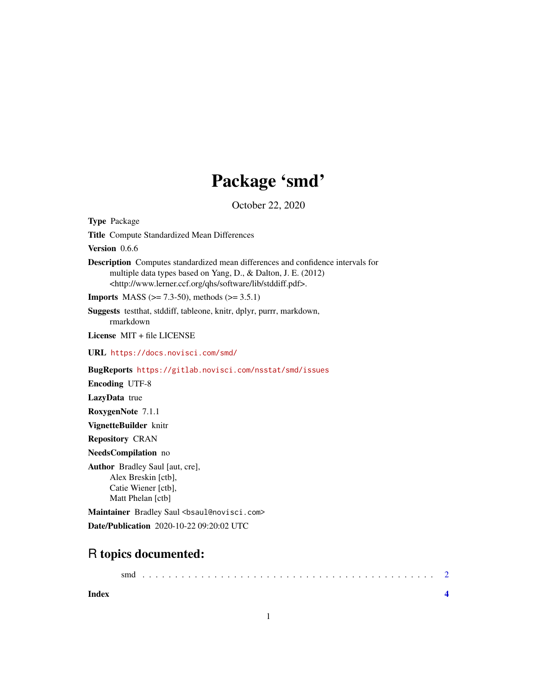# Package 'smd'

October 22, 2020

<span id="page-0-0"></span>Type Package Title Compute Standardized Mean Differences Version 0.6.6 Description Computes standardized mean differences and confidence intervals for multiple data types based on Yang, D., & Dalton, J. E. (2012) <http://www.lerner.ccf.org/qhs/software/lib/stddiff.pdf>. **Imports** MASS ( $>= 7.3-50$ ), methods ( $>= 3.5.1$ ) Suggests testthat, stddiff, tableone, knitr, dplyr, purrr, markdown, rmarkdown License MIT + file LICENSE URL <https://docs.novisci.com/smd/> BugReports <https://gitlab.novisci.com/nsstat/smd/issues> Encoding UTF-8 LazyData true RoxygenNote 7.1.1 VignetteBuilder knitr Repository CRAN NeedsCompilation no Author Bradley Saul [aut, cre], Alex Breskin [ctb], Catie Wiener [ctb], Matt Phelan [ctb] Maintainer Bradley Saul <br/>bsaul@novisci.com> Date/Publication 2020-10-22 09:20:02 UTC

## R topics documented:

| smd |  |  |  |  |  |  |  |  |  |  |  |  |  |  |  |  |  |  |  |  |  |  |  |  |
|-----|--|--|--|--|--|--|--|--|--|--|--|--|--|--|--|--|--|--|--|--|--|--|--|--|
|     |  |  |  |  |  |  |  |  |  |  |  |  |  |  |  |  |  |  |  |  |  |  |  |  |

**Index** [4](#page-3-0)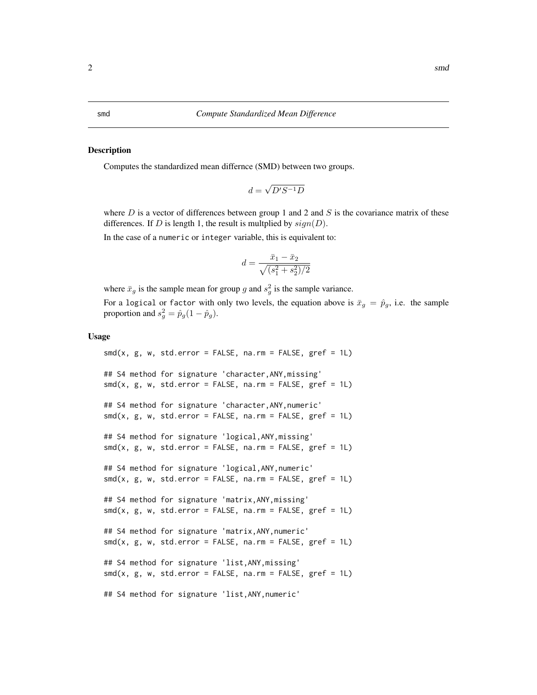#### <span id="page-1-0"></span>Description

Computes the standardized mean differnce (SMD) between two groups.

$$
d = \sqrt{D'S^{-1}D}
$$

where  $D$  is a vector of differences between group 1 and 2 and  $S$  is the covariance matrix of these differences. If D is length 1, the result is multplied by  $sign(D)$ .

In the case of a numeric or integer variable, this is equivalent to:

$$
d=\frac{\bar{x}_1-\bar{x}_2}{\sqrt{(s_1^2+s_2^2)/2}}
$$

where  $\bar{x}_g$  is the sample mean for group g and  $s_g^2$  is the sample variance.

For a logical or factor with only two levels, the equation above is  $\bar{x}_g = \hat{p}_g$ , i.e. the sample proportion and  $s_g^2 = \hat{p}_g(1 - \hat{p}_g)$ .

#### Usage

```
smd(x, g, w, std_error = FALSE, na.rm = FALSE, gref = 1L)## S4 method for signature 'character,ANY,missing'
smd(x, g, w, std. error = FALSE, na. rm = FALSE, gref = 1L)## S4 method for signature 'character,ANY,numeric'
smd(x, g, w, std. error = FALSE, na. rm = FALSE, gref = 1L)## S4 method for signature 'logical,ANY,missing'
smd(x, g, w, std_error = FALSE, na.rm = FALSE, gref = 1L)## S4 method for signature 'logical,ANY,numeric'
smd(x, g, w, std_error = FALSE, na.rm = FALSE, gref = 1L)## S4 method for signature 'matrix,ANY,missing'
smd(x, g, w, std. error = FALSE, na. rm = FALSE, gref = 1L)## S4 method for signature 'matrix,ANY,numeric'
smd(x, g, w, std_error = FALSE, na.rm = FALSE, gref = 1L)## S4 method for signature 'list,ANY,missing'
smd(x, g, w, std_error = FALSE, na.rm = FALSE, gref = 1L)## S4 method for signature 'list,ANY,numeric'
```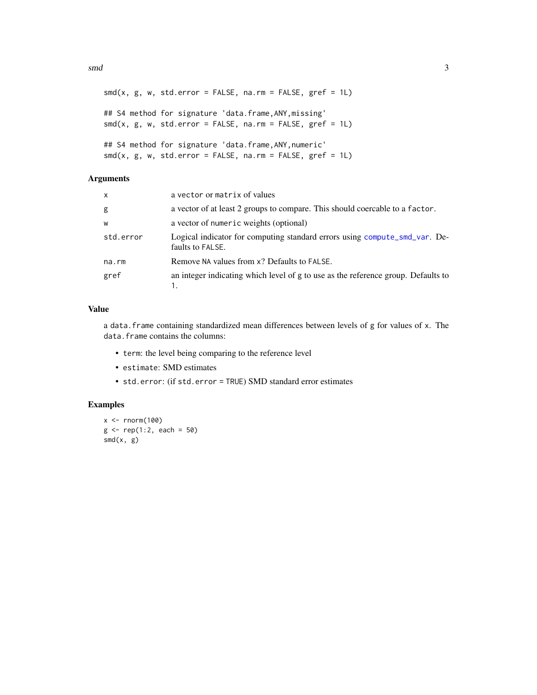#### <span id="page-2-0"></span> $\mathbf{s}$ md  $\mathbf{s}$

```
smd(x, g, w, std_error = FALSE, na.rm = FALSE, gref = 1L)## S4 method for signature 'data.frame,ANY,missing'
smd(x, g, w, std_error = FALSE, na.rm = FALSE, gref = 1L)## S4 method for signature 'data.frame,ANY,numeric'
smd(x, g, w, std_error = FALSE, na.rm = FALSE, gref = 1L)
```
#### Arguments

| x         | a vector or matrix of values                                                                   |
|-----------|------------------------------------------------------------------------------------------------|
| g         | a vector of at least 2 groups to compare. This should coercable to a factor.                   |
| W         | a vector of numeric weights (optional)                                                         |
| std.error | Logical indicator for computing standard errors using compute_smd_var. De-<br>faults to FALSE. |
| na.rm     | Remove NA values from x? Defaults to FALSE.                                                    |
| gref      | an integer indicating which level of g to use as the reference group. Defaults to              |

### Value

a data.frame containing standardized mean differences between levels of g for values of x. The data.frame contains the columns:

- term: the level being comparing to the reference level
- estimate: SMD estimates
- std.error: (if std.error = TRUE) SMD standard error estimates

#### Examples

```
x < - rnorm(100)
g \leftarrow rep(1:2, each = 50)smd(x, g)
```